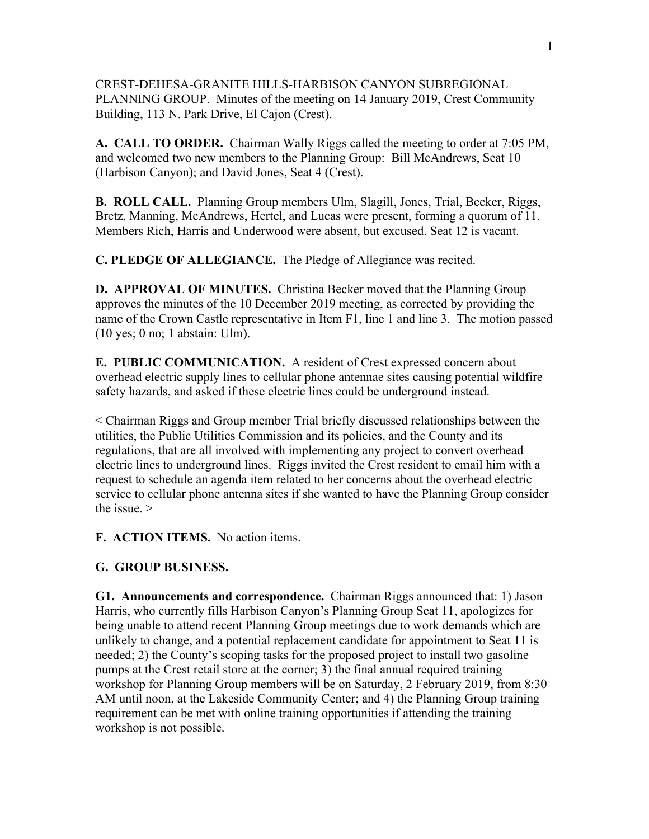CREST-DEHESA-GRANITE HILLS-HARBISON CANYON SUBREGIONAL PLANNING GROUP. Minutes of the meeting on 14 January 2019, Crest Community Building, 113 N. Park Drive, El Cajon (Crest).

**A. CALL TO ORDER.** Chairman Wally Riggs called the meeting to order at 7:05 PM, and welcomed two new members to the Planning Group: Bill McAndrews, Seat 10 (Harbison Canyon); and David Jones, Seat 4 (Crest).

**B. ROLL CALL.** Planning Group members Ulm, Slagill, Jones, Trial, Becker, Riggs, Bretz, Manning, McAndrews, Hertel, and Lucas were present, forming a quorum of 11. Members Rich, Harris and Underwood were absent, but excused. Seat 12 is vacant.

**C. PLEDGE OF ALLEGIANCE.** The Pledge of Allegiance was recited.

**D. APPROVAL OF MINUTES.** Christina Becker moved that the Planning Group approves the minutes of the 10 December 2019 meeting, as corrected by providing the name of the Crown Castle representative in Item F1, line 1 and line 3. The motion passed (10 yes; 0 no; 1 abstain: Ulm).

**E. PUBLIC COMMUNICATION.** A resident of Crest expressed concern about overhead electric supply lines to cellular phone antennae sites causing potential wildfire safety hazards, and asked if these electric lines could be underground instead.

< Chairman Riggs and Group member Trial briefly discussed relationships between the utilities, the Public Utilities Commission and its policies, and the County and its regulations, that are all involved with implementing any project to convert overhead electric lines to underground lines. Riggs invited the Crest resident to email him with a request to schedule an agenda item related to her concerns about the overhead electric service to cellular phone antenna sites if she wanted to have the Planning Group consider the issue. >

**F. ACTION ITEMS.** No action items.

## **G. GROUP BUSINESS.**

**G1. Announcements and correspondence.** Chairman Riggs announced that: 1) Jason Harris, who currently fills Harbison Canyon's Planning Group Seat 11, apologizes for being unable to attend recent Planning Group meetings due to work demands which are unlikely to change, and a potential replacement candidate for appointment to Seat 11 is needed; 2) the County's scoping tasks for the proposed project to install two gasoline pumps at the Crest retail store at the corner; 3) the final annual required training workshop for Planning Group members will be on Saturday, 2 February 2019, from 8:30 AM until noon, at the Lakeside Community Center; and 4) the Planning Group training requirement can be met with online training opportunities if attending the training workshop is not possible.